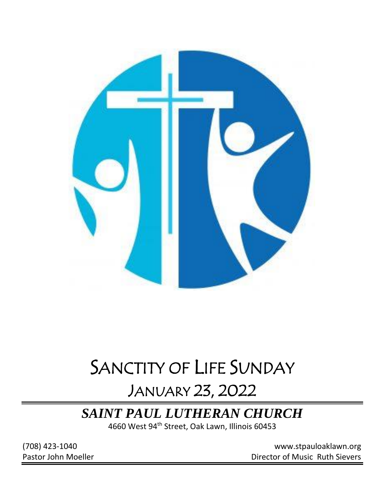

# SANCTITY OF LIFE SUNDAY

## JANUARY 23, 2022

## *SAINT PAUL LUTHERAN CHURCH*

4660 West 94<sup>th</sup> Street, Oak Lawn, Illinois 60453

(708) 423-1040 [www.stpauloaklawn.org](about:blank) Pastor John Moeller **Director of Music Ruth Sievers**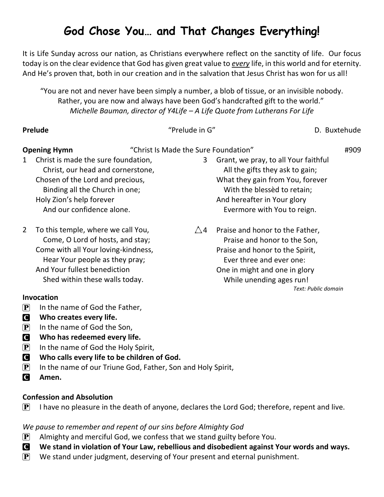## **God Chose You… and That Changes Everything!**

It is Life Sunday across our nation, as Christians everywhere reflect on the sanctity of life. Our focus today is on the clear evidence that God has given great value to *every* life, in this world and for eternity. And He's proven that, both in our creation and in the salvation that Jesus Christ has won for us all!

"You are not and never have been simply a number, a blob of tissue, or an invisible nobody. Rather, you are now and always have been God's handcrafted gift to the world." *Michelle Bauman, director of Y4Life – A Life Quote from Lutherans For Life*

|                           | Prelude                                                                                                                                                                                                           | "Prelude in G"                       |                                                                                                                                                                                                          | D. Buxtehude        |
|---------------------------|-------------------------------------------------------------------------------------------------------------------------------------------------------------------------------------------------------------------|--------------------------------------|----------------------------------------------------------------------------------------------------------------------------------------------------------------------------------------------------------|---------------------|
|                           | <b>Opening Hymn</b>                                                                                                                                                                                               | "Christ Is Made the Sure Foundation" |                                                                                                                                                                                                          | #909                |
| $\mathbf{1}$              | Christ is made the sure foundation,<br>Christ, our head and cornerstone,<br>Chosen of the Lord and precious,<br>Binding all the Church in one;<br>Holy Zion's help forever<br>And our confidence alone.           | 3                                    | Grant, we pray, to all Your faithful<br>All the gifts they ask to gain;<br>What they gain from You, forever<br>With the blessed to retain;<br>And hereafter in Your glory<br>Evermore with You to reign. |                     |
| 2                         | To this temple, where we call You,<br>Come, O Lord of hosts, and stay;<br>Come with all Your loving-kindness,<br>Hear Your people as they pray;<br>And Your fullest benediction<br>Shed within these walls today. | $\triangle 4$                        | Praise and honor to the Father,<br>Praise and honor to the Son,<br>Praise and honor to the Spirit,<br>Ever three and ever one:<br>One in might and one in glory<br>While unending ages run!              | Text: Public domain |
|                           | <b>Invocation</b>                                                                                                                                                                                                 |                                      |                                                                                                                                                                                                          |                     |
| $\left[\mathbf{P}\right]$ | In the name of God the Father,                                                                                                                                                                                    |                                      |                                                                                                                                                                                                          |                     |

- **C** Who creates every life.
- $\mathbf{P}$  In the name of God the Son,
- C **Who has redeemed every life.**
- $\left| \mathbf{P} \right|$  In the name of God the Holy Spirit,
- C **Who calls every life to be children of God.**
- $\mathbf{P}$  In the name of our Triune God, Father, Son and Holy Spirit,
- C **Amen.**

#### **Confession and Absolution**

 $\mathbf{P}$  I have no pleasure in the death of anyone, declares the Lord God; therefore, repent and live.

#### *We pause to remember and repent of our sins before Almighty God*

- $\left[ \mathbf{P} \right]$  Almighty and merciful God, we confess that we stand guilty before You.
- C **We stand in violation of Your Law, rebellious and disobedient against Your words and ways.**
- $\left| \mathbf{P} \right|$  We stand under judgment, deserving of Your present and eternal punishment.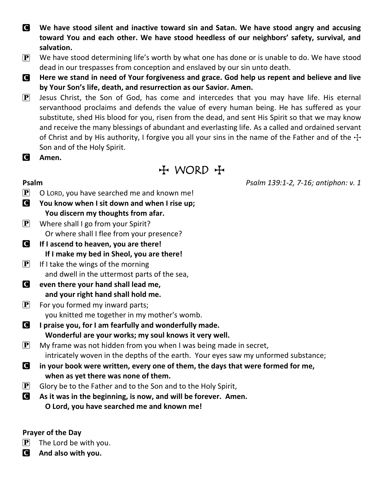- C **We have stood silent and inactive toward sin and Satan. We have stood angry and accusing toward You and each other. We have stood heedless of our neighbors' safety, survival, and salvation.**
- $\left| \mathbf{P} \right|$  We have stood determining life's worth by what one has done or is unable to do. We have stood dead in our trespasses from conception and enslaved by our sin unto death.
- C **Here we stand in need of Your forgiveness and grace. God help us repent and believe and live by Your Son's life, death, and resurrection as our Savior. Amen.**
- $\mathbf{P}$  Jesus Christ, the Son of God, has come and intercedes that you may have life. His eternal servanthood proclaims and defends the value of every human being. He has suffered as your substitute, shed His blood for you, risen from the dead, and sent His Spirit so that we may know and receive the many blessings of abundant and everlasting life. As a called and ordained servant of Christ and by His authority, I forgive you all your sins in the name of the Father and of the  $\pm$ Son and of the Holy Spirit.
- C **Amen.**

## $H$  WORD  $H$

**Psalm** *Psalm 139:1-2, 7-16; antiphon: v. 1*

- $\mathbf{P}$  O LORD, you have searched me and known me!
- C **You know when I sit down and when I rise up; You discern my thoughts from afar.**
- $\mathbf{P}$  Where shall I go from your Spirit? Or where shall I flee from your presence?
- C **If I ascend to heaven, you are there! If I make my bed in Sheol, you are there!**
- $\left| \mathbf{P} \right|$  If I take the wings of the morning and dwell in the uttermost parts of the sea,
- C **even there your hand shall lead me, and your right hand shall hold me.**
- $\mathbf{P}$  For you formed my inward parts; you knitted me together in my mother's womb.
- C **I praise you, for I am fearfully and wonderfully made. Wonderful are your works; my soul knows it very well.**
- $\left| \mathbf{P} \right|$  My frame was not hidden from you when I was being made in secret, intricately woven in the depths of the earth. Your eyes saw my unformed substance;
- C **in your book were written, every one of them, the days that were formed for me, when as yet there was none of them.**
- $\mathbf{P}$  Glory be to the Father and to the Son and to the Holy Spirit,
- C **As it was in the beginning, is now, and will be forever. Amen. O Lord, you have searched me and known me!**

#### **Prayer of the Day**

- $\left| \mathbf{P} \right|$  The Lord be with you.
- C **And also with you.**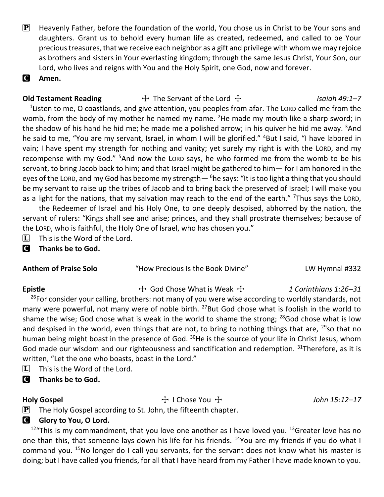$\mathbf{P}$  Heavenly Father, before the foundation of the world, You chose us in Christ to be Your sons and daughters. Grant us to behold every human life as created, redeemed, and called to be Your precious treasures, that we receive each neighbor as a gift and privilege with whom we may rejoice as brothers and sisters in Your everlasting kingdom; through the same Jesus Christ, Your Son, our Lord, who lives and reigns with You and the Holy Spirit, one God, now and forever.

C **Amen.**

#### **Old Testament Reading**  $\qquad \qquad \qquad +$  The Servant of the Lord  $\qquad \qquad +$  *Isaiah 49:1–7*

 $1$ Listen to me, O coastlands, and give attention, you peoples from afar. The LORD called me from the womb, from the body of my mother he named my name. <sup>2</sup>He made my mouth like a sharp sword; in the shadow of his hand he hid me; he made me a polished arrow; in his quiver he hid me away.  $3$ And he said to me, "You are my servant, Israel, in whom I will be glorified." <sup>4</sup>But I said, "I have labored in vain; I have spent my strength for nothing and vanity; yet surely my right is with the LORD, and my recompense with my God." <sup>5</sup>And now the LORD says, he who formed me from the womb to be his servant, to bring Jacob back to him; and that Israel might be gathered to him— for I am honored in the eyes of the LORD, and my God has become my strength—  $6$ he says: "It is too light a thing that you should be my servant to raise up the tribes of Jacob and to bring back the preserved of Israel; I will make you as a light for the nations, that my salvation may reach to the end of the earth." <sup>7</sup>Thus says the LORD,

the Redeemer of Israel and his Holy One, to one deeply despised, abhorred by the nation, the servant of rulers: "Kings shall see and arise; princes, and they shall prostrate themselves; because of the LORD, who is faithful, the Holy One of Israel, who has chosen you."

 $\Box$  This is the Word of the Lord.

C **Thanks be to God.**

| <b>Anthem of Praise Solo</b> | "How Precious Is the Book Divine" | LW Hymnal #332 |
|------------------------------|-----------------------------------|----------------|
|                              |                                   |                |

Epistle The T<sub>1</sub> Cod Chose What is Weak T *1 Corinthians 1:26–31* <sup>26</sup>For consider your calling, brothers: not many of you were wise according to worldly standards, not many were powerful, not many were of noble birth.  $^{27}$ But God chose what is foolish in the world to shame the wise; God chose what is weak in the world to shame the strong;  $^{28}$  God chose what is low and despised in the world, even things that are not, to bring to nothing things that are,  $^{29}$ so that no human being might boast in the presence of God. <sup>30</sup>He is the source of your life in Christ Jesus, whom God made our wisdom and our righteousness and sanctification and redemption.  $31$ Therefore, as it is written, "Let the one who boasts, boast in the Lord."

- $\[\mathbf{\overline{L}}\]$  This is the Word of the Lord.
- C **Thanks be to God.**

Holy Gospel **The Cospel** T I Chose You  $\ddot{\mathrm{f}}$  I Chose You  $\ddot{\mathrm{f}}$  T Chose You  $\ddot{\mathrm{f}}$  T  $John$  15:12–17

 $\mathbf{P}$  The Holy Gospel according to St. John, the fifteenth chapter.

### **G** Glory to You, O Lord.

 $12^{\mu}$ This is my commandment, that you love one another as I have loved you.  $13^{\mu}$ Greater love has no one than this, that someone lays down his life for his friends. <sup>14</sup>You are my friends if you do what I command you. <sup>15</sup>No longer do I call you servants, for the servant does not know what his master is doing; but I have called you friends, for all that I have heard from my Father I have made known to you.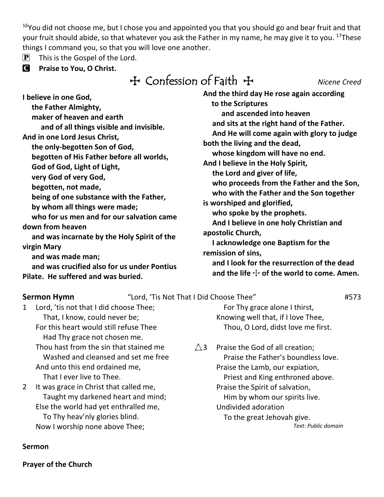$16$ You did not choose me, but I chose you and appointed you that you should go and bear fruit and that your fruit should abide, so that whatever you ask the Father in my name, he may give it to you. <sup>17</sup>These things I command you, so that you will love one another.

- $\left[ \mathbf{P} \right]$  This is the Gospel of the Lord.
- C **Praise to You, O Christ.**

| $H$ Confession of Faith $H$ | Nicene Creed |
|-----------------------------|--------------|
|-----------------------------|--------------|

| I believe in one God,                       | And the third day He rose again according   |  |  |
|---------------------------------------------|---------------------------------------------|--|--|
| the Father Almighty,                        | to the Scriptures                           |  |  |
| maker of heaven and earth                   | and ascended into heaven                    |  |  |
| and of all things visible and invisible.    | and sits at the right hand of the Father.   |  |  |
| And in one Lord Jesus Christ,               | And He will come again with glory to jue    |  |  |
| the only-begotten Son of God,               | both the living and the dead,               |  |  |
| begotten of His Father before all worlds,   | whose kingdom will have no end.             |  |  |
| God of God, Light of Light,                 | And I believe in the Holy Spirit,           |  |  |
| very God of very God,                       | the Lord and giver of life,                 |  |  |
| begotten, not made,                         | who proceeds from the Father and the        |  |  |
| being of one substance with the Father,     | who with the Father and the Son togeth      |  |  |
| by whom all things were made;               | is worshiped and glorified,                 |  |  |
| who for us men and for our salvation came   | who spoke by the prophets.                  |  |  |
| down from heaven                            | And I believe in one holy Christian and     |  |  |
| and was incarnate by the Holy Spirit of the | apostolic Church,                           |  |  |
| virgin Mary                                 | I acknowledge one Baptism for the           |  |  |
| and was made man;                           | remission of sins,                          |  |  |
| and was crucified also for us under Pontius | and I look for the resurrection of the de   |  |  |
| Pilate. He suffered and was buried.         | and the life $\pm$ of the world to come. An |  |  |

| to the Scriptures                              |  |
|------------------------------------------------|--|
| and ascended into heaven                       |  |
| and sits at the right hand of the Father.      |  |
| And He will come again with glory to judge     |  |
| both the living and the dead,                  |  |
| whose kingdom will have no end.                |  |
| And I believe in the Holy Spirit,              |  |
| the Lord and giver of life,                    |  |
| who proceeds from the Father and the Son,      |  |
| who with the Father and the Son together       |  |
| is worshiped and glorified,                    |  |
| who spoke by the prophets.                     |  |
| And I believe in one holy Christian and        |  |
| apostolic Church,                              |  |
| I acknowledge one Baptism for the              |  |
| remission of sins,                             |  |
| and I look for the resurrection of the dead    |  |
| and the life $\pm$ of the world to come. Amen. |  |

**Sermon Hymn** "Lord, 'Tis Not That I Did Choose Thee" #573

1 Lord, 'tis not that I did choose Thee; That, I know, could never be; For this heart would still refuse Thee Had Thy grace not chosen me. Thou hast from the sin that stained me Washed and cleansed and set me free And unto this end ordained me,

That I ever live to Thee.

2 It was grace in Christ that called me, Taught my darkened heart and mind; Else the world had yet enthralled me, To Thy heav'nly glories blind. Now I worship none above Thee;

 For Thy grace alone I thirst, Knowing well that, if I love Thee, Thou, O Lord, didst love me first.

 $\triangle$ 3 Praise the God of all creation; Praise the Father's boundless love. Praise the Lamb, our expiation, Priest and King enthroned above. Praise the Spirit of salvation, Him by whom our spirits live. Undivided adoration To the great Jehovah give. *Text: Public domain*

#### **Sermon**

**Prayer of the Church**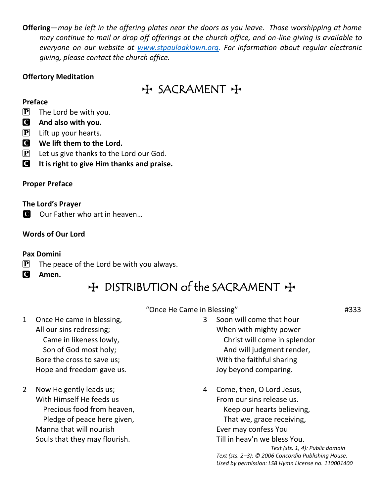**Offering**—*may be left in the offering plates near the doors as you leave. Those worshipping at home may continue to mail or drop off offerings at the church office, and on-line giving is available to everyone on our website at [www.stpauloaklawn.org.](http://www.stpauloaklawn.org/) For information about regular electronic giving, please contact the church office.* 

#### **Offertory Meditation**

## $H$  SACRAMENT +

#### **Preface**

 $\left[\mathbf{P}\right]$  The Lord be with you.

- C **And also with you.**
- $[P]$  Lift up your hearts.
- C **We lift them to the Lord.**
- $\left| \mathbf{P} \right|$  Let us give thanks to the Lord our God.
- C **It is right to give Him thanks and praise.**

### **Proper Preface**

#### **The Lord's Prayer**

C Our Father who art in heaven...

### **Words of Our Lord**

#### **Pax Domini**

- $\mathbf{P}$  The peace of the Lord be with you always.
- C **Amen.**

## + DISTRIBUTION of the SACRAMENT +

- 1 Once He came in blessing, All our sins redressing; Came in likeness lowly, Son of God most holy; Bore the cross to save us; Hope and freedom gave us.
- 2 Now He gently leads us; With Himself He feeds us Precious food from heaven, Pledge of peace here given, Manna that will nourish Souls that they may flourish.
- "Once He Came in Blessing" #333
	- 3 Soon will come that hour When with mighty power Christ will come in splendor And will judgment render, With the faithful sharing Joy beyond comparing.
	- 4 Come, then, O Lord Jesus, From our sins release us. Keep our hearts believing, That we, grace receiving, Ever may confess You Till in heav'n we bless You.

*Text (sts. 1, 4): Public domain Text (sts. 2–3): © 2006 Concordia Publishing House. Used by permission: LSB Hymn License no. 110001400*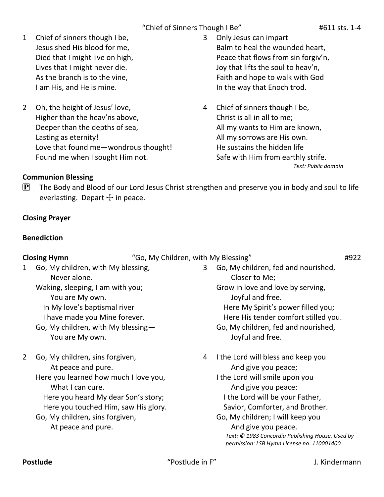"Chief of Sinners Though I Be" #611 sts. 1-4

- 1 Chief of sinners though I be, Jesus shed His blood for me, Died that I might live on high, Lives that I might never die. As the branch is to the vine, I am His, and He is mine.
- 2 Oh, the height of Jesus' love, Higher than the heav'ns above, Deeper than the depths of sea, Lasting as eternity! Love that found me—wondrous thought! Found me when I sought Him not.
- 3 Only Jesus can impart Balm to heal the wounded heart, Peace that flows from sin forgiv'n, Joy that lifts the soul to heav'n, Faith and hope to walk with God In the way that Enoch trod.
- 4 Chief of sinners though I be, Christ is all in all to me; All my wants to Him are known, All my sorrows are His own. He sustains the hidden life Safe with Him from earthly strife. *Text: Public domain*

### **Communion Blessing**

 $\mathbf{P}$  The Body and Blood of our Lord Jesus Christ strengthen and preserve you in body and soul to life everlasting. Depart  $+$  in peace.

### **Closing Prayer**

### **Benediction**

**Closing Hymn** "Go, My Children, with My Blessing" **#922** 

- 1 Go, My children, with My blessing, Never alone.
	- Waking, sleeping, I am with you; You are My own.
		- In My love's baptismal river
		- I have made you Mine forever.
	- Go, My children, with My blessing— You are My own.
- 2 Go, My children, sins forgiven,
	- At peace and pure.
	- Here you learned how much I love you, What I can cure.
		- Here you heard My dear Son's story;
	- Here you touched Him, saw His glory. Go, My children, sins forgiven,
		- At peace and pure.
- 3 Go, My children, fed and nourished, Closer to Me; Grow in love and love by serving, Joyful and free. Here My Spirit's power filled you; Here His tender comfort stilled you. Go, My children, fed and nourished, Joyful and free.
- 4 I the Lord will bless and keep you And give you peace;
	- I the Lord will smile upon you And give you peace: I the Lord will be your Father, Savior, Comforter, and Brother.
	- Go, My children; I will keep you And give you peace. *Text: © 1983 Concordia Publishing House. Used by permission: LSB Hymn License no. 110001400*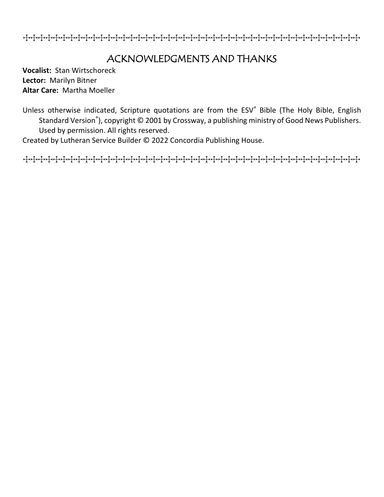TTTTTTTTTTTTTTTTTTTTTTTTTTTTTTTTTTTTTTTTTTTTT

## ACKNOWLEDGMENTS AND THANKS

**Vocalist:** Stan Wirtschoreck **Lector:** Marilyn Bitner **Altar Care:** Martha Moeller

Unless otherwise indicated, Scripture quotations are from the ESV® Bible (The Holy Bible, English Standard Version® ), copyright © 2001 by Crossway, a publishing ministry of Good News Publishers. Used by permission. All rights reserved.

Created by Lutheran Service Builder © 2022 Concordia Publishing House.

TTTTTTTTTTTTTTTTTTTTTTTTTTTTTTTTTTTTTTTTTTTTT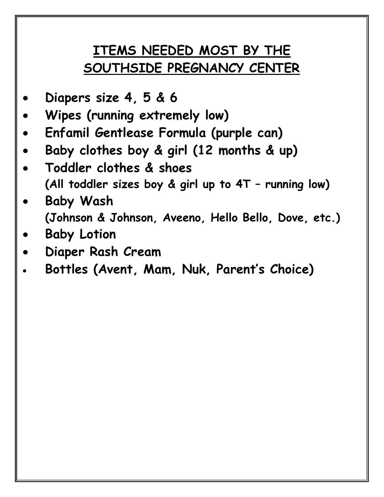## **ITEMS NEEDED MOST BY THE SOUTHSIDE PREGNANCY CENTER**

- **Diapers size 4, 5 & 6**
- **Wipes (running extremely low)**
- **Enfamil Gentlease Formula (purple can)**
- **Baby clothes boy & girl (12 months & up)**
- **Toddler clothes & shoes (All toddler sizes boy & girl up to 4T – running low)**
- **Baby Wash (Johnson & Johnson, Aveeno, Hello Bello, Dove, etc.)**
- **Baby Lotion**
- **Diaper Rash Cream**
- **Bottles (Avent, Mam, Nuk, Parent's Choice)**